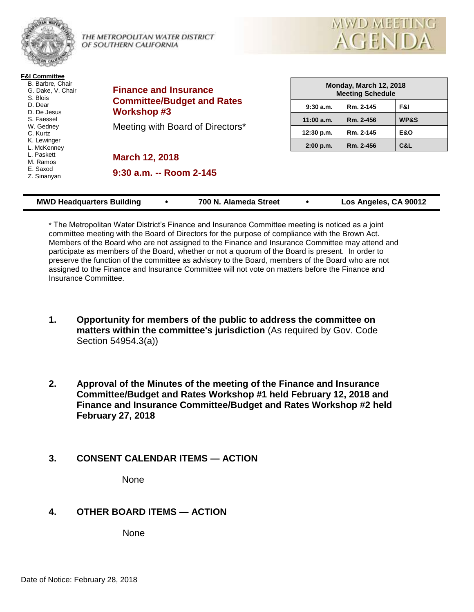

THE METROPOLITAN WATER DISTRICT OF SOUTHERN CALIFORNIA



**F&I Committee** B. Barbre, Chair G. Dake, V. Chair S. Blois D. Dear D. De Jesus S. Faessel W. Gedney C. Kurtz K. Lewinger L. McKenney L. Paskett M. Ramos E. Saxod Z. Sinanyan

**Finance and Insurance Committee/Budget and Rates Workshop #3**

Meeting with Board of Directors\*

**March 12, 2018**

**9:30 a.m. -- Room 2-145**

| Monday, March 12, 2018<br><b>Meeting Schedule</b> |           |                 |  |
|---------------------------------------------------|-----------|-----------------|--|
| 9:30a.m.                                          | Rm. 2-145 | F&I             |  |
| $11:00$ a.m.                                      | Rm. 2-456 | <b>WP&amp;S</b> |  |
| 12:30 p.m.                                        | Rm. 2-145 | <b>E&amp;O</b>  |  |
| $2:00$ p.m.                                       | Rm. 2-456 | C&L             |  |

| <b>MWD Headquarters Building</b><br>700 N. Alameda Street | Los Angeles, CA 90012 |
|-----------------------------------------------------------|-----------------------|
|-----------------------------------------------------------|-----------------------|

\* The Metropolitan Water District's Finance and Insurance Committee meeting is noticed as a joint committee meeting with the Board of Directors for the purpose of compliance with the Brown Act. Members of the Board who are not assigned to the Finance and Insurance Committee may attend and participate as members of the Board, whether or not a quorum of the Board is present. In order to preserve the function of the committee as advisory to the Board, members of the Board who are not assigned to the Finance and Insurance Committee will not vote on matters before the Finance and Insurance Committee.

- **1. Opportunity for members of the public to address the committee on matters within the committee's jurisdiction** (As required by Gov. Code Section 54954.3(a))
- **2. Approval of the Minutes of the meeting of the Finance and Insurance Committee/Budget and Rates Workshop #1 held February 12, 2018 and Finance and Insurance Committee/Budget and Rates Workshop #2 held February 27, 2018**
- **3. CONSENT CALENDAR ITEMS — ACTION**

None

# **4. OTHER BOARD ITEMS — ACTION**

None